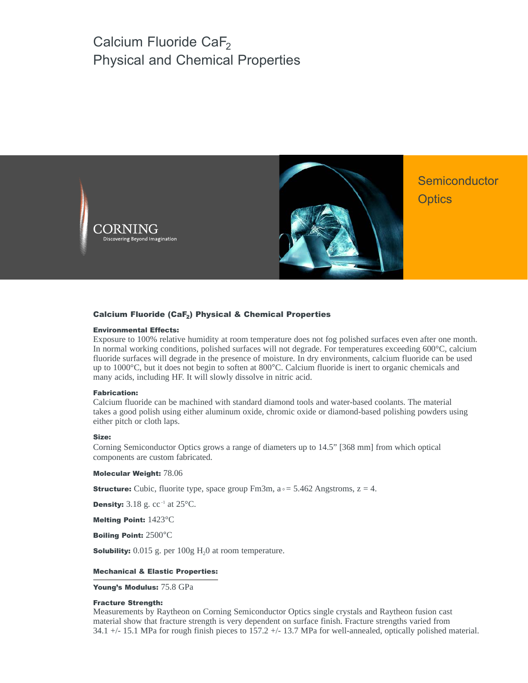# Calcium Fluoride CaF<sub>2</sub> Physical and Chemical Properties





**Semiconductor Optics** 

#### Calcium Fluoride (CaF<sub>2</sub>) Physical & Chemical Properties

#### Environmental Effects:

Exposure to 100% relative humidity at room temperature does not fog polished surfaces even after one month. In normal working conditions, polished surfaces will not degrade. For temperatures exceeding 600°C, calcium fluoride surfaces will degrade in the presence of moisture. In dry environments, calcium fluoride can be used up to 1000°C, but it does not begin to soften at 800°C. Calcium fluoride is inert to organic chemicals and many acids, including HF. It will slowly dissolve in nitric acid.

#### Fabrication:

Calcium fluoride can be machined with standard diamond tools and water-based coolants. The material takes a good polish using either aluminum oxide, chromic oxide or diamond-based polishing powders using either pitch or cloth laps.

#### Size:

Corning Semiconductor Optics grows a range of diameters up to 14.5" [368 mm] from which optical components are custom fabricated.

Molecular Weight: 78.06

**Structure:** Cubic, fluorite type, space group  $Fm3m$ ,  $a \approx 5.462$  Angstroms,  $z = 4$ .

**Density:**  $3.18$  g.  $cc^{-1}$  at  $25^{\circ}$ C.

Melting Point: 1423°C

Boiling Point: 2500°C

**Solubility:**  $0.015$  g. per  $100g$   $H<sub>2</sub>0$  at room temperature.

#### Mechanical & Elastic Properties:

Young's Modulus: 75.8 GPa

#### Fracture Strength:

Measurements by Raytheon on Corning Semiconductor Optics single crystals and Raytheon fusion cast material show that fracture strength is very dependent on surface finish. Fracture strengths varied from 34.1 +/- 15.1 MPa for rough finish pieces to 157.2 +/- 13.7 MPa for well-annealed, optically polished material.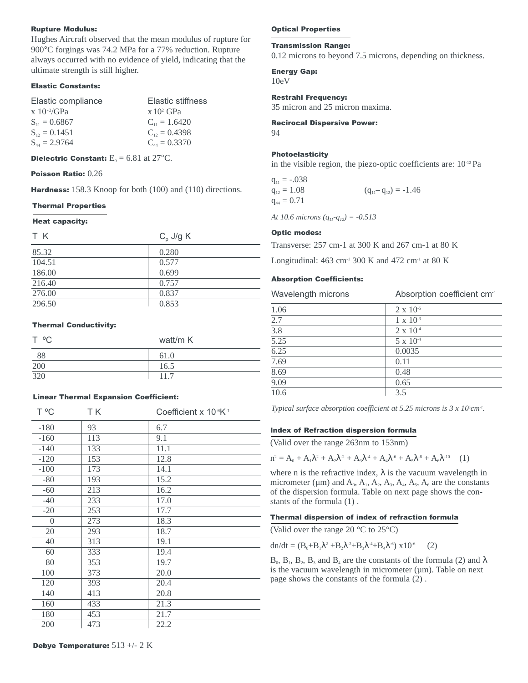# Rupture Modulus:

Hughes Aircraft observed that the mean modulus of rupture for 900°C forgings was 74.2 MPa for a 77% reduction. Rupture always occurred with no evidence of yield, indicating that the ultimate strength is still higher.

## Elastic Constants:

| Elastic stiffness    |
|----------------------|
| $x 10^2$ GPa         |
| $C_{\rm u} = 1.6420$ |
| $C_{12} = 0.4398$    |
| $C_{44} = 0.3370$    |
|                      |

**Dielectric Constant:**  $E_0 = 6.81$  at 27°C.

Poisson Ratio: 0.26

Hardness: 158.3 Knoop for both (100) and (110) directions.

### Thermal Properties

#### Heat capacity:

| T K    | $C_p$ J/g K |
|--------|-------------|
| 85.32  | 0.280       |
| 104.51 | 0.577       |
| 186.00 | 0.699       |
| 216.40 | 0.757       |
| 276.00 | 0.837       |
| 296.50 | 0.853       |

### Thermal Conductivity:

| T °C | watt/m K |
|------|----------|
| 88   | 61.0     |
| 200  | 16.5     |
| 320  | 117      |

# Linear Thermal Expansion Coefficient:

| T °C     | ΤK  | Coefficient x 10 <sup>-6</sup> K <sup>-1</sup> |
|----------|-----|------------------------------------------------|
| $-180$   | 93  | 6.7                                            |
| $-160$   | 113 | 9.1                                            |
| $-140$   | 133 | 11.1                                           |
| $-120$   | 153 | 12.8                                           |
| $-100$   | 173 | 14.1                                           |
| $-80$    | 193 | 15.2                                           |
| $-60$    | 213 | 16.2                                           |
| $-40$    | 233 | 17.0                                           |
| $-20$    | 253 | 17.7                                           |
| $\theta$ | 273 | 18.3                                           |
| 20       | 293 | 18.7                                           |
| 40       | 313 | 19.1                                           |
| 60       | 333 | 19.4                                           |
| 80       | 353 | 19.7                                           |
| 100      | 373 | 20.0                                           |
| 120      | 393 | 20.4                                           |
| 140      | 413 | 20.8                                           |
| 160      | 433 | 21.3                                           |
| 180      | 453 | 21.7                                           |
| 200      | 473 | 22.2                                           |

# Optical Properties

#### Transmission Range:

0.12 microns to beyond 7.5 microns, depending on thickness.

# Energy Gap:

10eV

# Restrahl Frequency:

35 micron and 25 micron maxima.

### Recirocal Dispersive Power:

94

# Photoelasticity

in the visible region, the piezo-optic coefficients are: 10-12 Pa

 $q_{11} = -.038$  $q_{12} = 1.08$   $(q_{11} - q_{12}) = -1.46$  $q_{44} = 0.71$ 

*At 10.6 microns* ( $q_{11}$ - $q_{12}$ ) = -0.513

# Optic modes:

Transverse: 257 cm-1 at 300 K and 267 cm-1 at 80 K

Longitudinal:  $463 \text{ cm}^{-1}$  300 K and  $472 \text{ cm}^{-1}$  at 80 K

# Absorption Coefficients:

| Wavelength microns | Absorption coefficient cm <sup>-1</sup> |
|--------------------|-----------------------------------------|
| 1.06               | $2 \times 10^{-5}$                      |
| 2.7                | $1 \times 10^{-3}$                      |
| 3.8                | $2 \times 10^{-4}$                      |
| 5.25               | $5 \times 10^{-4}$                      |
| 6.25               | 0.0035                                  |
| 7.69               | 0.11                                    |
| 8.69               | 0.48                                    |
| 9.09               | 0.65                                    |
| 10.6               | 3.5                                     |
|                    |                                         |

*Typical surface absorption coefficient at 5.25 microns is 3 x 10<sup>5</sup>cm<sup>-1</sup>.* 

# Index of Refraction dispersion formula

(Valid over the range 263nm to 153nm)

$$
n^{2} = A_{0} + A_{1}\lambda^{2} + A_{2}\lambda^{2} + A_{3}\lambda^{4} + A_{4}\lambda^{6} + A_{5}\lambda^{8} + A_{6}\lambda^{10} \quad (1)
$$

where n is the refractive index,  $\lambda$  is the vacuum wavelength in micrometer ( $\mu$ m) and  $A_0$ ,  $A_1$ ,  $A_2$ ,  $A_3$ ,  $A_4$ ,  $A_5$ ,  $A_6$  are the constants of the dispersion formula. Table on next page shows the constants of the formula (1) .

# Thermal dispersion of index of refraction formula

(Valid over the range 20  $\rm{^{\circ}C}$  to 25 $\rm{^{\circ}C}$ )

dn/dt =  $(B_0 + B_1\lambda^2 + B_2\lambda^2 + B_3\lambda^4 + B_4\lambda^6)$  x10<sup>-6</sup> (2)

 $B_0$ ,  $B_1$ ,  $B_2$ ,  $B_3$  and  $B_4$  are the constants of the formula (2) and  $\lambda$ is the vacuum wavelength in micrometer  $(\mu m)$ . Table on next page shows the constants of the formula (2) .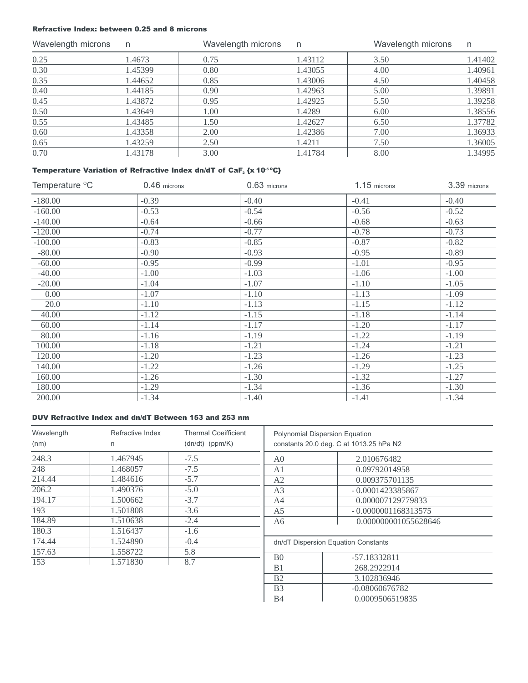# Refractive Index: between 0.25 and 8 microns

| Wavelength microns | n       | Wavelength microns | n.      | Wavelength microns | n       |
|--------------------|---------|--------------------|---------|--------------------|---------|
| 0.25               | 1.4673  | 0.75               | 1.43112 | 3.50               | 1.41402 |
| 0.30               | 1.45399 | 0.80               | 1.43055 | 4.00               | 1.40961 |
| 0.35               | 1.44652 | 0.85               | 1.43006 | 4.50               | 1.40458 |
| 0.40               | 1.44185 | 0.90               | 1.42963 | 5.00               | 1.39891 |
| 0.45               | 1.43872 | 0.95               | 1.42925 | 5.50               | 1.39258 |
| 0.50               | 1.43649 | 1.00               | 1.4289  | 6.00               | 1.38556 |
| 0.55               | 1.43485 | 1.50               | 1.42627 | 6.50               | 1.37782 |
| 0.60               | 1.43358 | 2.00               | 1.42386 | 7.00               | 1.36933 |
| 0.65               | 1.43259 | 2.50               | 1.4211  | 7.50               | 1.36005 |
| 0.70               | 1.43178 | 3.00               | 1.41784 | 8.00               | 1.34995 |

# Temperature Variation of Refractive Index dn/dT of CaF<sub>2</sub> {x 10<sup>-5 o</sup>C}

| Temperature °C | $0.46$ microns | 0.63 microns | $1.15$ microns | 3.39 microns |
|----------------|----------------|--------------|----------------|--------------|
| $-180.00$      | $-0.39$        | $-0.40$      | $-0.41$        | $-0.40$      |
| $-160.00$      | $-0.53$        | $-0.54$      | $-0.56$        | $-0.52$      |
| $-140.00$      | $-0.64$        | $-0.66$      | $-0.68$        | $-0.63$      |
| $-120.00$      | $-0.74$        | $-0.77$      | $-0.78$        | $-0.73$      |
| $-100.00$      | $-0.83$        | $-0.85$      | $-0.87$        | $-0.82$      |
| $-80.00$       | $-0.90$        | $-0.93$      | $-0.95$        | $-0.89$      |
| $-60.00$       | $-0.95$        | $-0.99$      | $-1.01$        | $-0.95$      |
| $-40.00$       | $-1.00$        | $-1.03$      | $-1.06$        | $-1.00$      |
| $-20.00$       | $-1.04$        | $-1.07$      | $-1.10$        | $-1.05$      |
| 0.00           | $-1.07$        | $-1.10$      | $-1.13$        | $-1.09$      |
| 20.0           | $-1.10$        | $-1.13$      | $-1.15$        | $-1.12$      |
| 40.00          | $-1.12$        | $-1.15$      | $-1.18$        | $-1.14$      |
| 60.00          | $-1.14$        | $-1.17$      | $-1.20$        | $-1.17$      |
| 80.00          | $-1.16$        | $-1.19$      | $-1.22$        | $-1.19$      |
| 100.00         | $-1.18$        | $-1.21$      | $-1.24$        | $-1.21$      |
| 120.00         | $-1.20$        | $-1.23$      | $-1.26$        | $-1.23$      |
| 140.00         | $-1.22$        | $-1.26$      | $-1.29$        | $-1.25$      |
| 160.00         | $-1.26$        | $-1.30$      | $-1.32$        | $-1.27$      |
| 180.00         | $-1.29$        | $-1.34$      | $-1.36$        | $-1.30$      |
| 200.00         | $-1.34$        | $-1.40$      | $-1.41$        | $-1.34$      |

# DUV Refractive Index and dn/dT Between 153 and 253 nm

| Wavelength | Refractive Index | <b>Thermal Coeifficient</b> |
|------------|------------------|-----------------------------|
| (nm)       | n                | $(dn/dt)$ (ppm/K)           |
| 248.3      | 1.467945         | $-7.5$                      |
| 248        | 1.468057         | $-7.5$                      |
| 214.44     | 1.484616         | $-5.7$                      |
| 206.2      | 1.490376         | $-5.0$                      |
| 194.17     | 1.500662         | $-3.7$                      |
| 193        | 1.501808         | $-3.6$                      |
| 184.89     | 1.510638         | $-2.4$                      |
| 180.3      | 1.516437         | $-1.6$                      |
| 174.44     | 1.524890         | $-0.4$                      |
| 157.63     | 1.558722         | 5.8                         |
| 153        | 1.571830         | 8.7                         |

| <b>Polynomial Dispersion Equation</b><br>constants 20.0 deg. C at 1013.25 hPa N2 |                       |  |  |
|----------------------------------------------------------------------------------|-----------------------|--|--|
| A <sub>0</sub>                                                                   | 2.010676482           |  |  |
| A <sub>1</sub>                                                                   | 0.09792014958         |  |  |
| A2                                                                               | 0.009375701135        |  |  |
| A <sub>3</sub>                                                                   | $-0.0001423385867$    |  |  |
| A4                                                                               | 0.000007129779833     |  |  |
| A5                                                                               | $-0.0000001168313575$ |  |  |
| 0.000000001055628646<br>A6                                                       |                       |  |  |
| dn/dT Dispersion Equation Constants                                              |                       |  |  |
| B <sub>0</sub>                                                                   | -57.18332811          |  |  |
| B <sub>1</sub>                                                                   | 268.2922914           |  |  |
| B <sub>2</sub>                                                                   | 3.102836946           |  |  |
| B <sub>3</sub>                                                                   | $-0.08060676782$      |  |  |
| B4                                                                               | 0.0009506519835       |  |  |